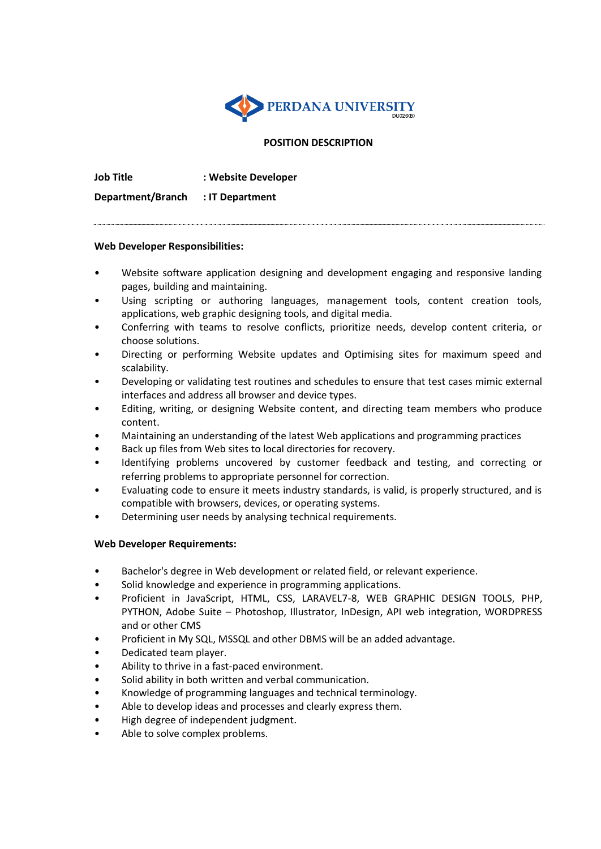

## **POSITION DESCRIPTION**

**Job Title : Website Developer** 

**Department/Branch : IT Department**

### **Web Developer Responsibilities:**

- Website software application designing and development engaging and responsive landing pages, building and maintaining.
- Using scripting or authoring languages, management tools, content creation tools, applications, web graphic designing tools, and digital media.
- Conferring with teams to resolve conflicts, prioritize needs, develop content criteria, or choose solutions.
- Directing or performing Website updates and Optimising sites for maximum speed and scalability.
- Developing or validating test routines and schedules to ensure that test cases mimic external interfaces and address all browser and device types.
- Editing, writing, or designing Website content, and directing team members who produce content.
- Maintaining an understanding of the latest Web applications and programming practices
- Back up files from Web sites to local directories for recovery.
- Identifying problems uncovered by customer feedback and testing, and correcting or referring problems to appropriate personnel for correction.
- Evaluating code to ensure it meets industry standards, is valid, is properly structured, and is compatible with browsers, devices, or operating systems.
- Determining user needs by analysing technical requirements.

# **Web Developer Requirements:**

- Bachelor's degree in Web development or related field, or relevant experience.
- Solid knowledge and experience in programming applications.
- Proficient in JavaScript, HTML, CSS, LARAVEL7-8, WEB GRAPHIC DESIGN TOOLS, PHP, PYTHON, Adobe Suite – Photoshop, Illustrator, InDesign, API web integration, WORDPRESS and or other CMS
- Proficient in My SQL, MSSQL and other DBMS will be an added advantage.
- Dedicated team player.
- Ability to thrive in a fast-paced environment.
- Solid ability in both written and verbal communication.
- Knowledge of programming languages and technical terminology.
- Able to develop ideas and processes and clearly express them.
- High degree of independent judgment.
- Able to solve complex problems.